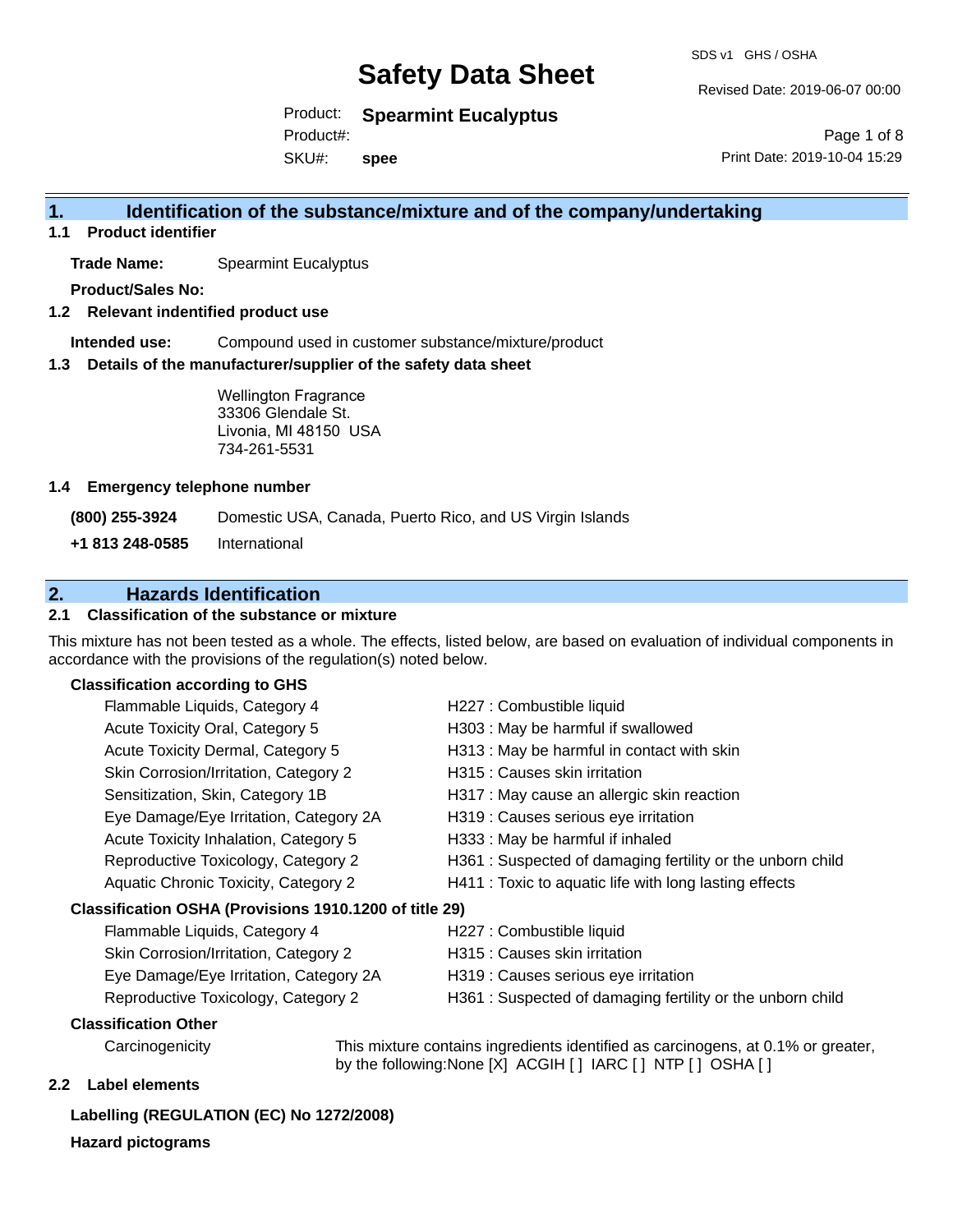SDS v1 GHS / OSHA

Revised Date: 2019-06-07 00:00

Product: **Spearmint Eucalyptus**

Product#:

SKU#: **spee**

Page 1 of 8 Print Date: 2019-10-04 15:29

## **1. Identification of the substance/mixture and of the company/undertaking**

**1.1 Product identifier**

**Trade Name:** Spearmint Eucalyptus

**Product/Sales No:**

**1.2 Relevant indentified product use**

**Intended use:** Compound used in customer substance/mixture/product

**1.3 Details of the manufacturer/supplier of the safety data sheet**

Wellington Fragrance 33306 Glendale St. Livonia, MI 48150 USA 734-261-5531

#### **1.4 Emergency telephone number**

**(800) 255-3924** Domestic USA, Canada, Puerto Rico, and US Virgin Islands

**+1 813 248-0585** International

## **2. Hazards Identification**

#### **2.1 Classification of the substance or mixture**

This mixture has not been tested as a whole. The effects, listed below, are based on evaluation of individual components in accordance with the provisions of the regulation(s) noted below.

#### **Classification according to GHS**

| Flammable Liquids, Category 4                          | H227 : Combustible liquid                                 |
|--------------------------------------------------------|-----------------------------------------------------------|
| Acute Toxicity Oral, Category 5                        | H303 : May be harmful if swallowed                        |
| Acute Toxicity Dermal, Category 5                      | H313 : May be harmful in contact with skin                |
| Skin Corrosion/Irritation, Category 2                  | H315 : Causes skin irritation                             |
| Sensitization, Skin, Category 1B                       | H317 : May cause an allergic skin reaction                |
| Eye Damage/Eye Irritation, Category 2A                 | H319 : Causes serious eye irritation                      |
| Acute Toxicity Inhalation, Category 5                  | H333: May be harmful if inhaled                           |
| Reproductive Toxicology, Category 2                    | H361: Suspected of damaging fertility or the unborn child |
| Aquatic Chronic Toxicity, Category 2                   | H411 : Toxic to aquatic life with long lasting effects    |
| Classification OSHA (Provisions 1910.1200 of title 29) |                                                           |
| Flammable Liquids, Category 4                          | H227 : Combustible liquid                                 |
| Skin Corrosion/Irritation, Category 2                  | H315 : Causes skin irritation                             |
| Eye Damage/Eye Irritation, Category 2A                 | H319 : Causes serious eye irritation                      |

- 
- Reproductive Toxicology, Category 2 H361 : Suspected of damaging fertility or the unborn child

#### **Classification Other**

Carcinogenicity This mixture contains ingredients identified as carcinogens, at 0.1% or greater, by the following:None [X] ACGIH [ ] IARC [ ] NTP [ ] OSHA [ ]

#### **2.2 Label elements**

## **Labelling (REGULATION (EC) No 1272/2008)**

**Hazard pictograms**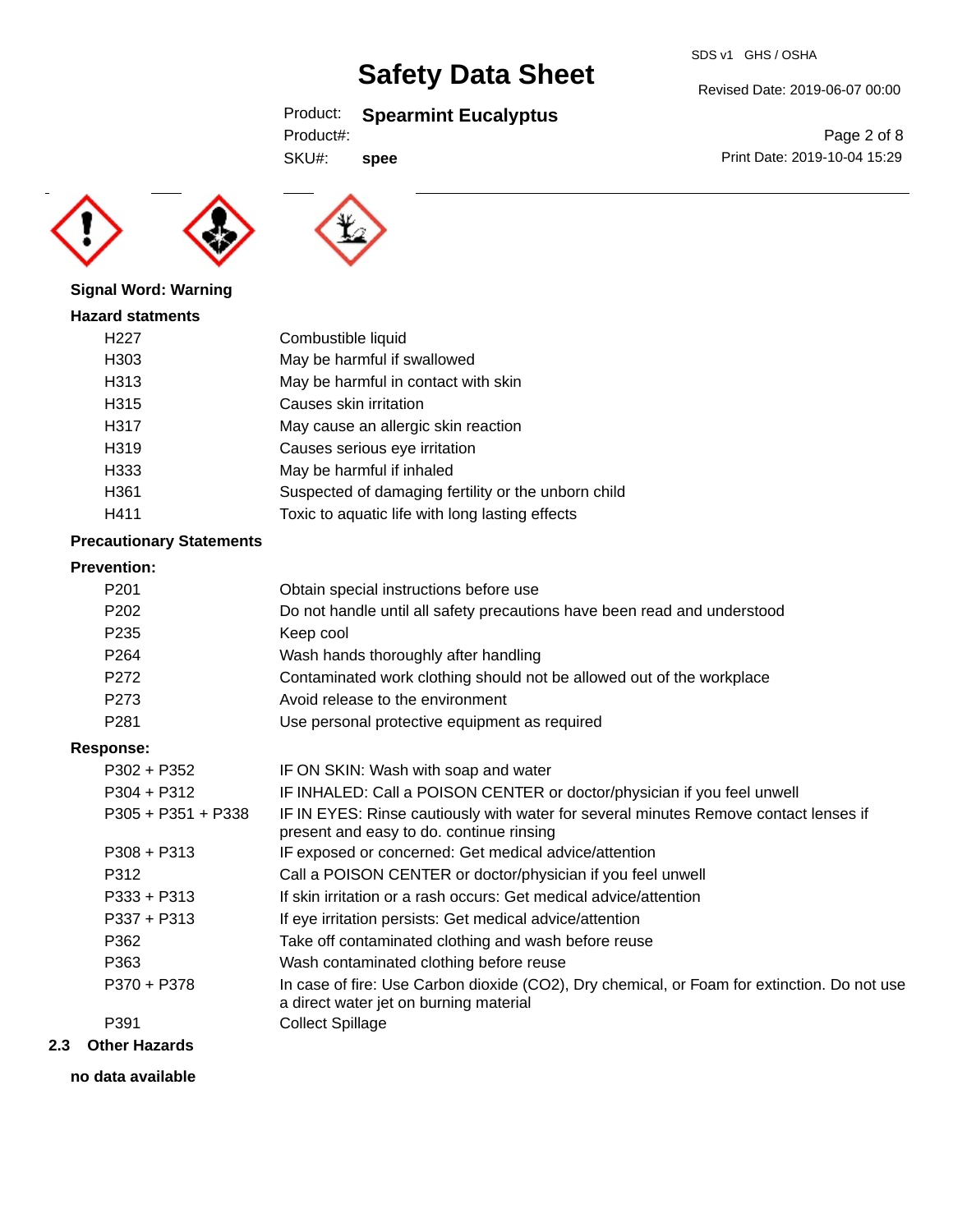## Product: **Spearmint Eucalyptus**

| Product#: |  |
|-----------|--|
|           |  |

SKU#: **spee**



Revised Date: 2019-06-07 00:00





#### **Signal Word: Warning**

| <b>Hazard statments</b> |                     |
|-------------------------|---------------------|
| H <sub>22</sub> 7       | Combustible liquid  |
| H303                    | May be harmful if s |
| 11010                   | Marcha homestulin   |

rmful if swallowed H313 May be harmful in contact with skin H315 Causes skin irritation H317 May cause an allergic skin reaction H319 Causes serious eye irritation H333 May be harmful if inhaled H361 Suspected of damaging fertility or the unborn child H411 Toxic to aquatic life with long lasting effects

### **Precautionary Statements**

## **Prevention:**

| LIGAGHUAH.       |                      |                                                                                                                                       |
|------------------|----------------------|---------------------------------------------------------------------------------------------------------------------------------------|
| P <sub>201</sub> |                      | Obtain special instructions before use                                                                                                |
| P <sub>202</sub> |                      | Do not handle until all safety precautions have been read and understood                                                              |
| P <sub>235</sub> |                      | Keep cool                                                                                                                             |
| P <sub>264</sub> |                      | Wash hands thoroughly after handling                                                                                                  |
| P272             |                      | Contaminated work clothing should not be allowed out of the workplace                                                                 |
| P273             |                      | Avoid release to the environment                                                                                                      |
| P <sub>281</sub> |                      | Use personal protective equipment as required                                                                                         |
| <b>Response:</b> |                      |                                                                                                                                       |
| $P302 + P352$    |                      | IF ON SKIN: Wash with soap and water                                                                                                  |
| $P304 + P312$    |                      | IF INHALED: Call a POISON CENTER or doctor/physician if you feel unwell                                                               |
|                  | $P305 + P351 + P338$ | IF IN EYES: Rinse cautiously with water for several minutes Remove contact lenses if<br>present and easy to do. continue rinsing      |
| $P308 + P313$    |                      | IF exposed or concerned: Get medical advice/attention                                                                                 |
| P312             |                      | Call a POISON CENTER or doctor/physician if you feel unwell                                                                           |
| $P333 + P313$    |                      | If skin irritation or a rash occurs: Get medical advice/attention                                                                     |
| $P337 + P313$    |                      | If eye irritation persists: Get medical advice/attention                                                                              |
| P362             |                      | Take off contaminated clothing and wash before reuse                                                                                  |
| P363             |                      | Wash contaminated clothing before reuse                                                                                               |
| P370 + P378      |                      | In case of fire: Use Carbon dioxide (CO2), Dry chemical, or Foam for extinction. Do not use<br>a direct water jet on burning material |
| P391             |                      | <b>Collect Spillage</b>                                                                                                               |
| Othar Hamarda    |                      |                                                                                                                                       |

#### **2.3 Other Hazards**

**no data available**

SDS v1 GHS / OSHA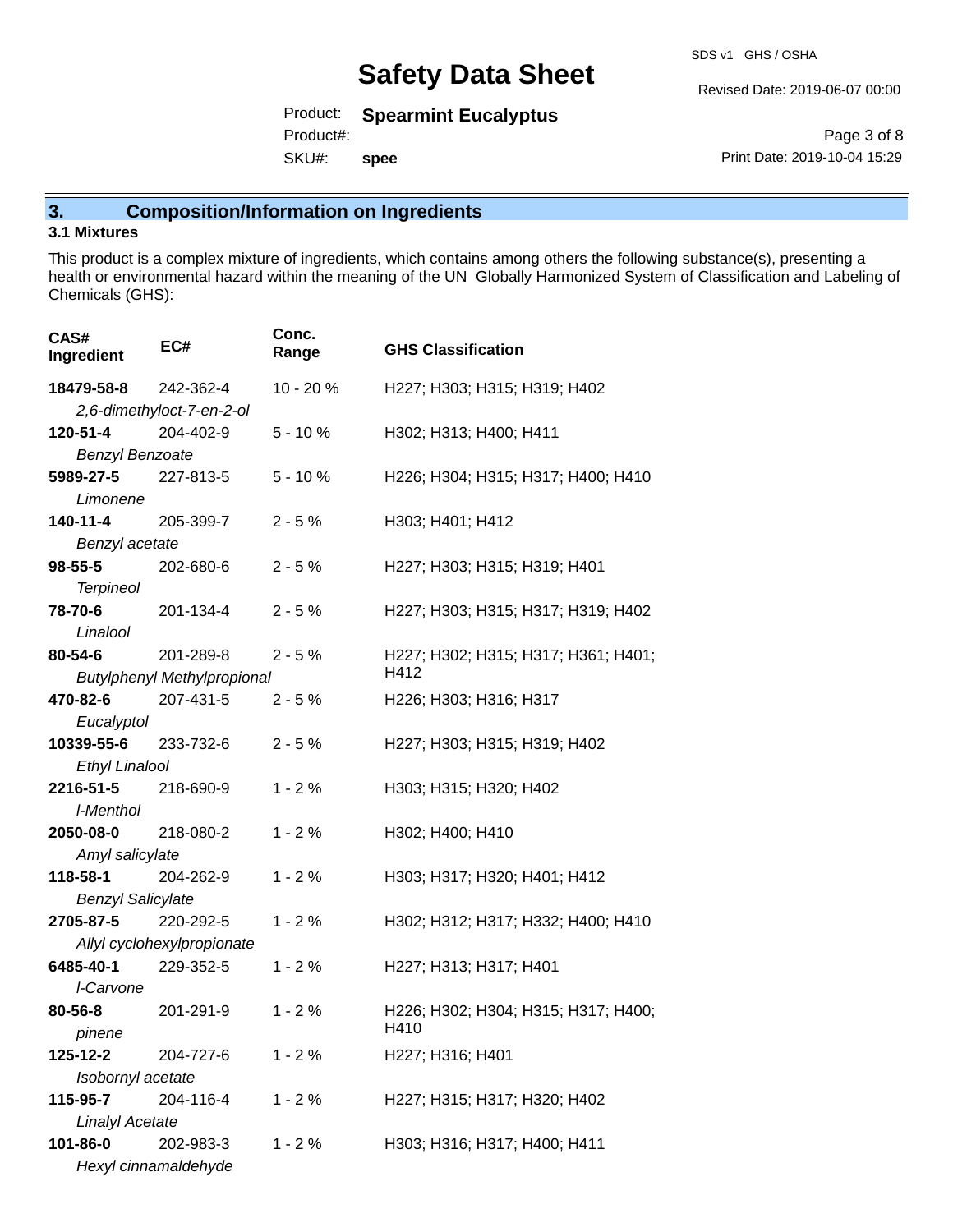Revised Date: 2019-06-07 00:00

Product: **Spearmint Eucalyptus**

Product#:

SKU#: **spee**

Page 3 of 8 Print Date: 2019-10-04 15:29

## **3. Composition/Information on Ingredients**

### **3.1 Mixtures**

This product is a complex mixture of ingredients, which contains among others the following substance(s), presenting a health or environmental hazard within the meaning of the UN Globally Harmonized System of Classification and Labeling of Chemicals (GHS):

| CAS#<br>Ingredient                 | EC#                                | Conc.<br>Range | <b>GHS Classification</b>                   |
|------------------------------------|------------------------------------|----------------|---------------------------------------------|
| 18479-58-8                         | 242-362-4                          | $10 - 20%$     | H227; H303; H315; H319; H402                |
|                                    | 2,6-dimethyloct-7-en-2-ol          |                |                                             |
| 120-51-4                           | 204-402-9                          | $5 - 10%$      | H302; H313; H400; H411                      |
| <b>Benzyl Benzoate</b>             |                                    |                |                                             |
| 5989-27-5                          | 227-813-5                          | $5 - 10%$      | H226; H304; H315; H317; H400; H410          |
| Limonene                           |                                    |                |                                             |
| 140-11-4                           | 205-399-7                          | $2 - 5%$       | H303; H401; H412                            |
| Benzyl acetate                     |                                    |                |                                             |
| $98 - 55 - 5$                      | 202-680-6                          | $2 - 5%$       | H227; H303; H315; H319; H401                |
| <b>Terpineol</b>                   |                                    |                |                                             |
| 78-70-6                            | 201-134-4                          | $2 - 5%$       | H227; H303; H315; H317; H319; H402          |
| Linalool                           |                                    |                |                                             |
| 80-54-6                            | 201-289-8                          | $2 - 5%$       | H227; H302; H315; H317; H361; H401;         |
|                                    | <b>Butylphenyl Methylpropional</b> |                | H412                                        |
| 470-82-6                           | 207-431-5                          | $2 - 5%$       | H226; H303; H316; H317                      |
| Eucalyptol                         |                                    |                |                                             |
| 10339-55-6                         | 233-732-6                          | $2 - 5%$       | H227; H303; H315; H319; H402                |
| <b>Ethyl Linalool</b>              |                                    |                |                                             |
| 2216-51-5                          | 218-690-9                          | $1 - 2%$       | H303; H315; H320; H402                      |
| l-Menthol                          |                                    |                |                                             |
| 2050-08-0                          | 218-080-2                          | $1 - 2%$       | H302; H400; H410                            |
| Amyl salicylate                    |                                    |                |                                             |
| 118-58-1                           | 204-262-9                          | $1 - 2%$       | H303; H317; H320; H401; H412                |
| <b>Benzyl Salicylate</b>           |                                    |                |                                             |
| 2705-87-5                          | 220-292-5                          | $1 - 2%$       | H302; H312; H317; H332; H400; H410          |
|                                    | Allyl cyclohexylpropionate         |                |                                             |
| 6485-40-1                          | 229-352-5                          | $1 - 2%$       | H227; H313; H317; H401                      |
| I-Carvone                          |                                    |                |                                             |
| 80-56-8                            | 201-291-9                          | $1 - 2%$       | H226; H302; H304; H315; H317; H400;<br>H410 |
| pinene                             |                                    |                |                                             |
| 125-12-2                           | 204-727-6                          | $1 - 2%$       | H227; H316; H401                            |
| Isobornyl acetate                  |                                    |                |                                             |
| 115-95-7                           | 204-116-4                          | $1 - 2%$       | H227; H315; H317; H320; H402                |
| <b>Linalyl Acetate</b><br>101-86-0 | 202-983-3                          | $1 - 2%$       | H303; H316; H317; H400; H411                |
|                                    | Hexyl cinnamaldehyde               |                |                                             |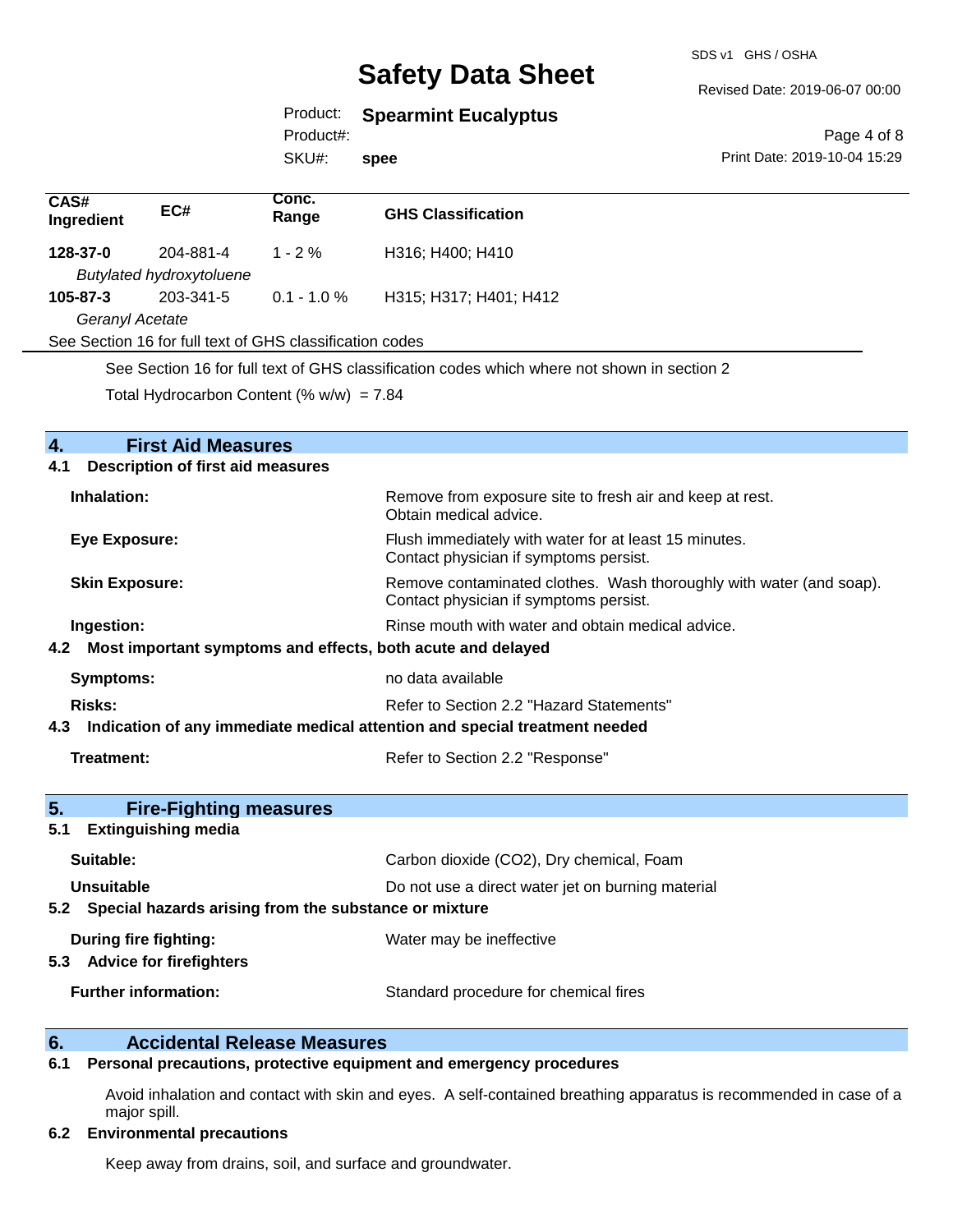SDS v1 GHS / OSHA

#### Revised Date: 2019-06-07 00:00

## Product: **Spearmint Eucalyptus**

Product#:

SKU#: **spee**

Page 4 of 8 Print Date: 2019-10-04 15:29

| CAS#<br>Ingredient                                       | EC#                             | Conc.<br>Range | <b>GHS Classification</b>                                                                  |
|----------------------------------------------------------|---------------------------------|----------------|--------------------------------------------------------------------------------------------|
| 128-37-0                                                 | 204-881-4                       | $1 - 2 \%$     | H316; H400; H410                                                                           |
|                                                          | <b>Butylated hydroxytoluene</b> |                |                                                                                            |
| $105 - 87 - 3$                                           | 203-341-5                       | $0.1 - 1.0 \%$ | H315; H317; H401; H412                                                                     |
| Geranyl Acetate                                          |                                 |                |                                                                                            |
| See Section 16 for full text of GHS classification codes |                                 |                |                                                                                            |
|                                                          |                                 |                | See Section 16 for full text of CHS elegationian eagles which where not aboun in section 2 |

See Section 16 for full text of GHS classification codes which where not shown in section 2

Total Hydrocarbon Content (%  $w/w$ ) = 7.84

| $\overline{4}$ .<br><b>First Aid Measures</b>                                  |                                                                                                               |
|--------------------------------------------------------------------------------|---------------------------------------------------------------------------------------------------------------|
| <b>Description of first aid measures</b><br>4.1                                |                                                                                                               |
| Inhalation:                                                                    | Remove from exposure site to fresh air and keep at rest.<br>Obtain medical advice.                            |
| <b>Eye Exposure:</b>                                                           | Flush immediately with water for at least 15 minutes.<br>Contact physician if symptoms persist.               |
| <b>Skin Exposure:</b>                                                          | Remove contaminated clothes. Wash thoroughly with water (and soap).<br>Contact physician if symptoms persist. |
| Ingestion:                                                                     | Rinse mouth with water and obtain medical advice.                                                             |
| 4.2 Most important symptoms and effects, both acute and delayed                |                                                                                                               |
| <b>Symptoms:</b>                                                               | no data available                                                                                             |
| Risks:                                                                         | Refer to Section 2.2 "Hazard Statements"                                                                      |
| 4.3 Indication of any immediate medical attention and special treatment needed |                                                                                                               |
| Treatment:                                                                     | Refer to Section 2.2 "Response"                                                                               |
| 5.<br><b>Fire-Fighting measures</b>                                            |                                                                                                               |
| <b>Extinguishing media</b><br>5.1                                              |                                                                                                               |
| Suitable:                                                                      | Carbon dioxide (CO2), Dry chemical, Foam                                                                      |
| Unsuitable                                                                     | Do not use a direct water jet on burning material                                                             |
| 5.2 Special hazards arising from the substance or mixture                      |                                                                                                               |
| <b>During fire fighting:</b><br><b>Advice for firefighters</b><br>5.3          | Water may be ineffective                                                                                      |
|                                                                                |                                                                                                               |
| <b>Further information:</b>                                                    | Standard procedure for chemical fires                                                                         |

## **6. Accidental Release Measures**

### **6.1 Personal precautions, protective equipment and emergency procedures**

Avoid inhalation and contact with skin and eyes. A self-contained breathing apparatus is recommended in case of a major spill.

#### **6.2 Environmental precautions**

Keep away from drains, soil, and surface and groundwater.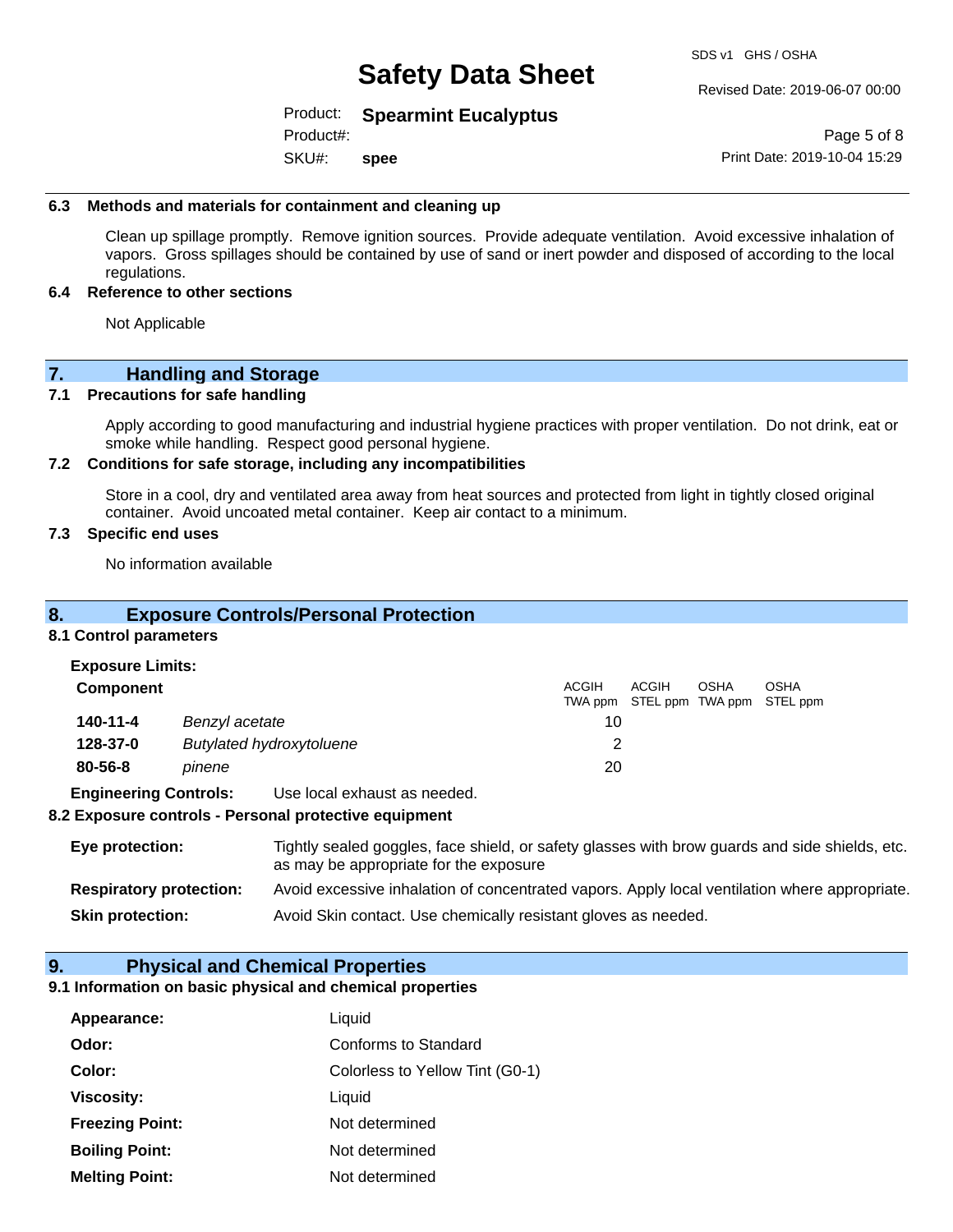SDS v1 GHS / OSHA

#### Revised Date: 2019-06-07 00:00

### Product: **Spearmint Eucalyptus**

SKU#: Product#: **spee**

Page 5 of 8 Print Date: 2019-10-04 15:29

#### **6.3 Methods and materials for containment and cleaning up**

Clean up spillage promptly. Remove ignition sources. Provide adequate ventilation. Avoid excessive inhalation of vapors. Gross spillages should be contained by use of sand or inert powder and disposed of according to the local regulations.

#### **6.4 Reference to other sections**

Not Applicable

## **7. Handling and Storage**

#### **7.1 Precautions for safe handling**

Apply according to good manufacturing and industrial hygiene practices with proper ventilation. Do not drink, eat or smoke while handling. Respect good personal hygiene.

#### **7.2 Conditions for safe storage, including any incompatibilities**

Store in a cool, dry and ventilated area away from heat sources and protected from light in tightly closed original container. Avoid uncoated metal container. Keep air contact to a minimum.

#### **7.3 Specific end uses**

No information available

### **8. Exposure Controls/Personal Protection**

#### **8.1 Control parameters**

| <b>Exposure Limits:</b><br>Component |                                 | <b>ACGIH</b> | ACGIH | <b>OSHA</b> | <b>OSHA</b><br>TWA ppm STEL ppm TWA ppm STEL ppm |
|--------------------------------------|---------------------------------|--------------|-------|-------------|--------------------------------------------------|
| $140 - 11 - 4$                       | Benzyl acetate                  | 10           |       |             |                                                  |
| 128-37-0                             | <b>Butylated hydroxytoluene</b> |              |       |             |                                                  |
| $80 - 56 - 8$                        | pinene                          | 20           |       |             |                                                  |

**Engineering Controls:** Use local exhaust as needed.

#### **8.2 Exposure controls - Personal protective equipment**

| Eye protection:                | Tightly sealed goggles, face shield, or safety glasses with brow guards and side shields, etc.<br>as may be appropriate for the exposure |
|--------------------------------|------------------------------------------------------------------------------------------------------------------------------------------|
| <b>Respiratory protection:</b> | Avoid excessive inhalation of concentrated vapors. Apply local ventilation where appropriate.                                            |
| <b>Skin protection:</b>        | Avoid Skin contact. Use chemically resistant gloves as needed.                                                                           |

#### **9. Physical and Chemical Properties**

#### **9.1 Information on basic physical and chemical properties**

| Appearance:            | Liquid                          |
|------------------------|---------------------------------|
| Odor:                  | Conforms to Standard            |
| Color:                 | Colorless to Yellow Tint (G0-1) |
| <b>Viscosity:</b>      | Liquid                          |
| <b>Freezing Point:</b> | Not determined                  |
| <b>Boiling Point:</b>  | Not determined                  |
| <b>Melting Point:</b>  | Not determined                  |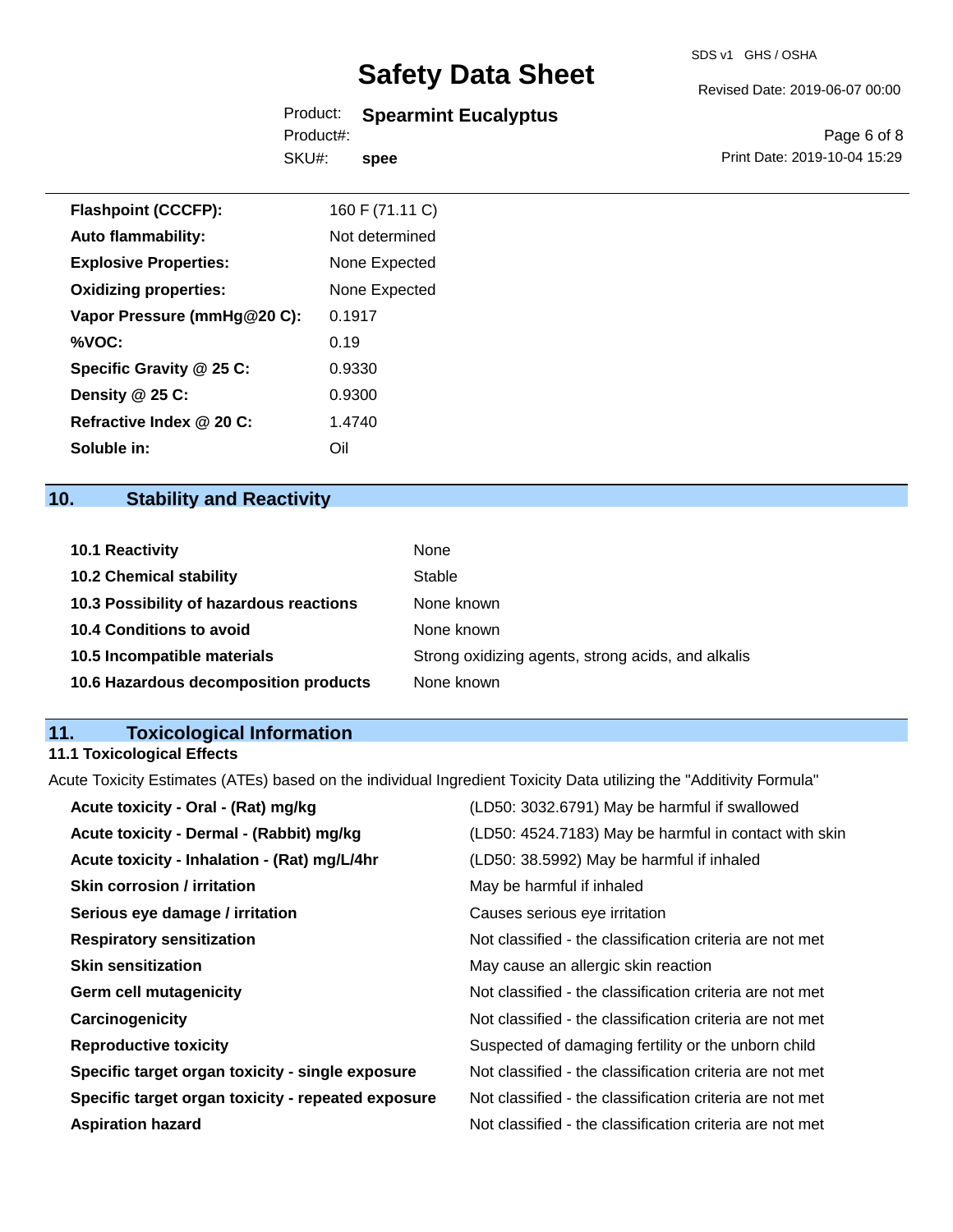## Product: **Spearmint Eucalyptus**

SKU#: Product#: **spee** Revised Date: 2019-06-07 00:00

Page 6 of 8 Print Date: 2019-10-04 15:29

| <b>Flashpoint (CCCFP):</b>   | 160 F (71.11 C) |
|------------------------------|-----------------|
| <b>Auto flammability:</b>    | Not determined  |
| <b>Explosive Properties:</b> | None Expected   |
| <b>Oxidizing properties:</b> | None Expected   |
| Vapor Pressure (mmHg@20 C):  | 0.1917          |
| %VOC:                        | 0.19            |
| Specific Gravity @ 25 C:     | 0.9330          |
| Density $@25C$ :             | 0.9300          |
| Refractive Index @ 20 C:     | 1.4740          |
| Soluble in:                  | Oil             |

## **10. Stability and Reactivity**

| <b>10.1 Reactivity</b>                  | None                                               |
|-----------------------------------------|----------------------------------------------------|
| <b>10.2 Chemical stability</b>          | Stable                                             |
| 10.3 Possibility of hazardous reactions | None known                                         |
| 10.4 Conditions to avoid                | None known                                         |
| 10.5 Incompatible materials             | Strong oxidizing agents, strong acids, and alkalis |
| 10.6 Hazardous decomposition products   | None known                                         |

## **11. Toxicological Information**

## **11.1 Toxicological Effects**

Acute Toxicity Estimates (ATEs) based on the individual Ingredient Toxicity Data utilizing the "Additivity Formula"

| Acute toxicity - Oral - (Rat) mg/kg                | (LD50: 3032.6791) May be harmful if swallowed            |
|----------------------------------------------------|----------------------------------------------------------|
| Acute toxicity - Dermal - (Rabbit) mg/kg           | (LD50: 4524.7183) May be harmful in contact with skin    |
| Acute toxicity - Inhalation - (Rat) mg/L/4hr       | (LD50: 38.5992) May be harmful if inhaled                |
| <b>Skin corrosion / irritation</b>                 | May be harmful if inhaled                                |
| Serious eye damage / irritation                    | Causes serious eye irritation                            |
| <b>Respiratory sensitization</b>                   | Not classified - the classification criteria are not met |
| <b>Skin sensitization</b>                          | May cause an allergic skin reaction                      |
| <b>Germ cell mutagenicity</b>                      | Not classified - the classification criteria are not met |
| Carcinogenicity                                    | Not classified - the classification criteria are not met |
| <b>Reproductive toxicity</b>                       | Suspected of damaging fertility or the unborn child      |
| Specific target organ toxicity - single exposure   | Not classified - the classification criteria are not met |
| Specific target organ toxicity - repeated exposure | Not classified - the classification criteria are not met |
| <b>Aspiration hazard</b>                           | Not classified - the classification criteria are not met |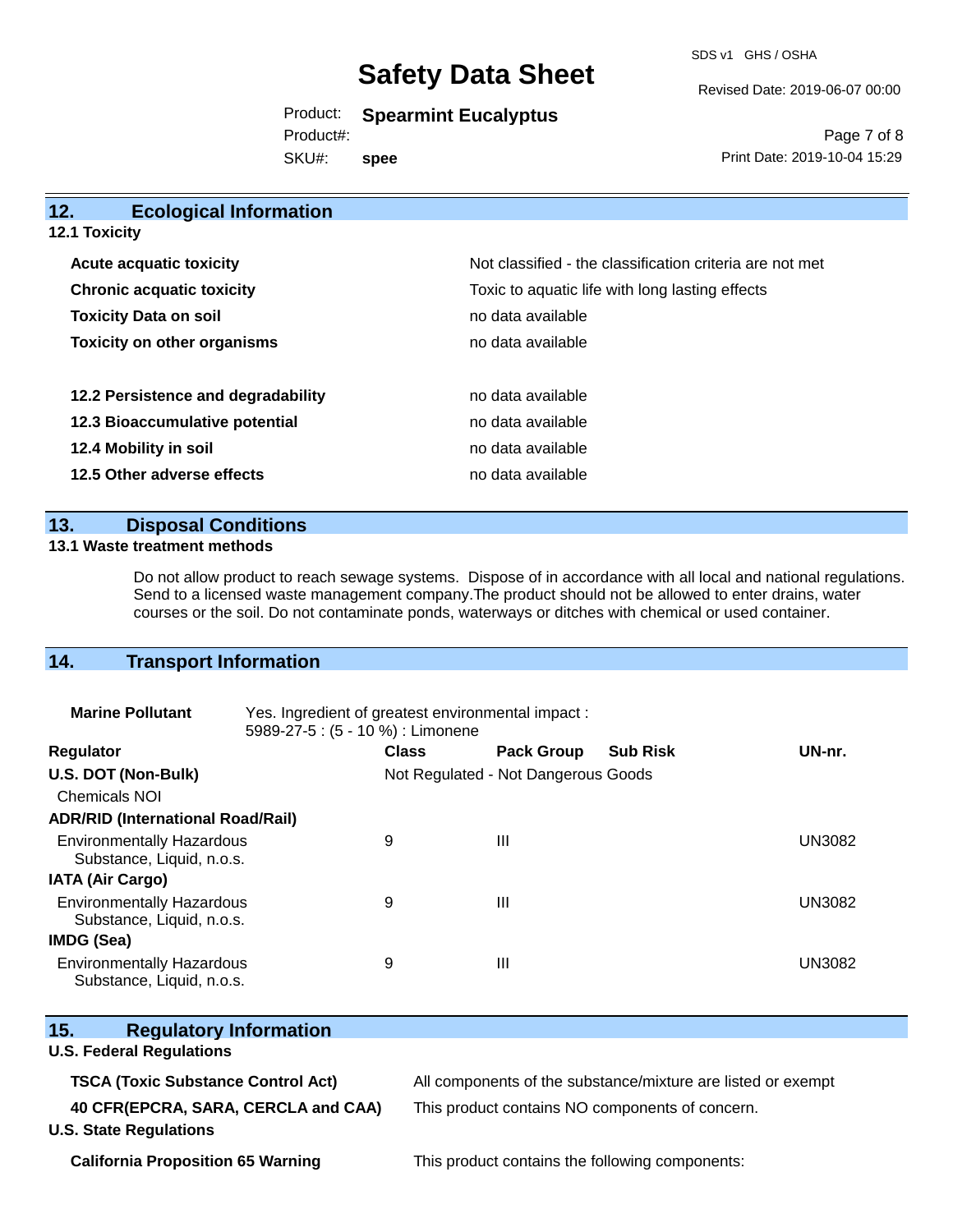SDS v1 GHS / OSHA

Revised Date: 2019-06-07 00:00

Product: **Spearmint Eucalyptus**

SKU#: Product#: **spee**

Page 7 of 8 Print Date: 2019-10-04 15:29

| 12.<br><b>Ecological Information</b> |                                                          |
|--------------------------------------|----------------------------------------------------------|
| 12.1 Toxicity                        |                                                          |
| <b>Acute acquatic toxicity</b>       | Not classified - the classification criteria are not met |
| <b>Chronic acquatic toxicity</b>     | Toxic to aquatic life with long lasting effects          |
| <b>Toxicity Data on soil</b>         | no data available                                        |
| <b>Toxicity on other organisms</b>   | no data available                                        |
| 12.2 Persistence and degradability   | no data available                                        |
| 12.3 Bioaccumulative potential       | no data available                                        |
| 12.4 Mobility in soil                | no data available                                        |
| 12.5 Other adverse effects           | no data available                                        |

## **13. Disposal Conditions**

### **13.1 Waste treatment methods**

Do not allow product to reach sewage systems. Dispose of in accordance with all local and national regulations. Send to a licensed waste management company.The product should not be allowed to enter drains, water courses or the soil. Do not contaminate ponds, waterways or ditches with chemical or used container.

## **14. Transport Information**

| <b>Marine Pollutant</b>                                       | Yes. Ingredient of greatest environmental impact:<br>5989-27-5 : (5 - 10 %) : Limonene |                                     |                   |                 |               |
|---------------------------------------------------------------|----------------------------------------------------------------------------------------|-------------------------------------|-------------------|-----------------|---------------|
| <b>Regulator</b>                                              |                                                                                        | <b>Class</b>                        | <b>Pack Group</b> | <b>Sub Risk</b> | UN-nr.        |
| U.S. DOT (Non-Bulk)                                           |                                                                                        | Not Regulated - Not Dangerous Goods |                   |                 |               |
| <b>Chemicals NOI</b>                                          |                                                                                        |                                     |                   |                 |               |
| <b>ADR/RID (International Road/Rail)</b>                      |                                                                                        |                                     |                   |                 |               |
| <b>Environmentally Hazardous</b><br>Substance, Liquid, n.o.s. |                                                                                        | 9                                   | Ш                 |                 | <b>UN3082</b> |
| <b>IATA (Air Cargo)</b>                                       |                                                                                        |                                     |                   |                 |               |
| <b>Environmentally Hazardous</b><br>Substance, Liquid, n.o.s. |                                                                                        | 9                                   | Ш                 |                 | <b>UN3082</b> |
| <b>IMDG (Sea)</b>                                             |                                                                                        |                                     |                   |                 |               |
| <b>Environmentally Hazardous</b><br>Substance, Liquid, n.o.s. |                                                                                        | 9                                   | Ш                 |                 | <b>UN3082</b> |

| 15.<br><b>Regulatory Information</b>      |                                                              |
|-------------------------------------------|--------------------------------------------------------------|
| <b>U.S. Federal Regulations</b>           |                                                              |
| <b>TSCA (Toxic Substance Control Act)</b> | All components of the substance/mixture are listed or exempt |
| 40 CFR(EPCRA, SARA, CERCLA and CAA)       | This product contains NO components of concern.              |
| <b>U.S. State Regulations</b>             |                                                              |
| <b>California Proposition 65 Warning</b>  | This product contains the following components:              |